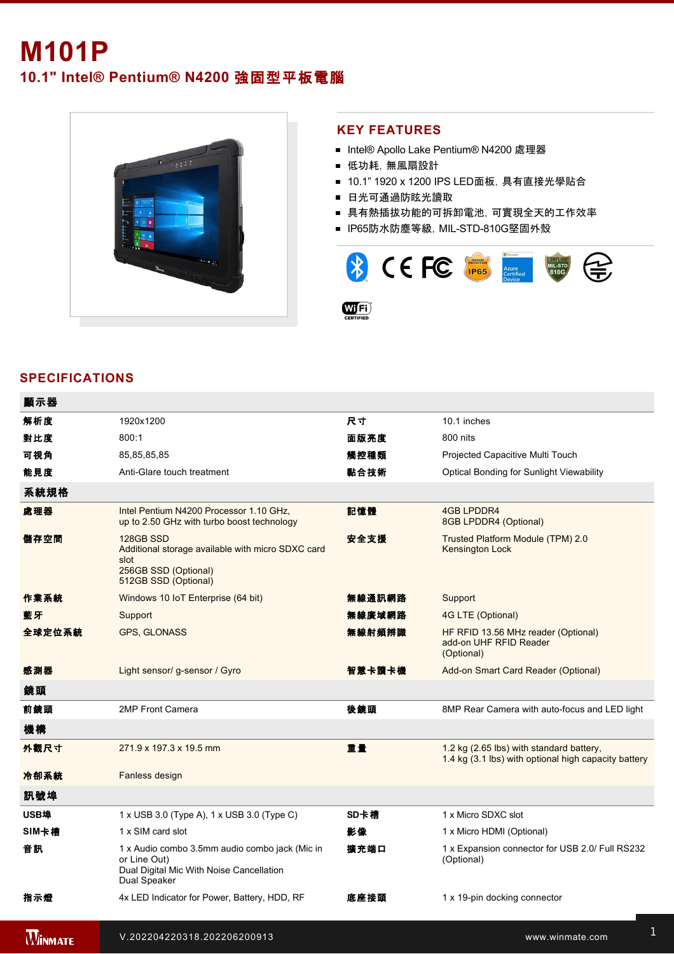# **M101P**

**10.1" Intel® Pentium® N4200** 強固型平板電腦



### **KEY FEATURES**

- Intel® Apollo Lake Pentium® N4200 處理器
- 低功耗, 無風扇設計
- 10.1" 1920 x 1200 IPS LED面板, 具有直接光學貼合
- 日光可通過防眩光讀取
- 具有熱插拔功能的可拆卸電池,可實現全天的工作效率
- IP65防水防塵等級, MIL-STD-810G堅固外殼



## **SPECIFICATIONS**

| 顯示器    |                                                                                                                            |        |                                                                                                  |
|--------|----------------------------------------------------------------------------------------------------------------------------|--------|--------------------------------------------------------------------------------------------------|
| 解析度    | 1920x1200                                                                                                                  | 尺寸     | 10.1 inches                                                                                      |
| 對比度    | 800:1                                                                                                                      | 面版亮度   | 800 nits                                                                                         |
| 可視角    | 85,85,85,85                                                                                                                | 觸控種類   | Projected Capacitive Multi Touch                                                                 |
| 能見度    | Anti-Glare touch treatment                                                                                                 | 黏合技術   | Optical Bonding for Sunlight Viewability                                                         |
| 系統規格   |                                                                                                                            |        |                                                                                                  |
| 處理器    | Intel Pentium N4200 Processor 1.10 GHz,<br>up to 2.50 GHz with turbo boost technology                                      | 記憶體    | <b>4GB LPDDR4</b><br>8GB LPDDR4 (Optional)                                                       |
| 儲存空間   | 128GB SSD<br>Additional storage available with micro SDXC card<br>slot<br>256GB SSD (Optional)<br>512GB SSD (Optional)     | 安全支援   | Trusted Platform Module (TPM) 2.0<br>Kensington Lock                                             |
| 作業系統   | Windows 10 IoT Enterprise (64 bit)                                                                                         | 無線通訊網路 | Support                                                                                          |
| 藍牙     | Support                                                                                                                    | 無線廣域網路 | 4G LTE (Optional)                                                                                |
| 全球定位系統 | GPS, GLONASS                                                                                                               | 無線射頻辨識 | HF RFID 13.56 MHz reader (Optional)<br>add-on UHF RFID Reader<br>(Optional)                      |
| 感測器    | Light sensor/ g-sensor / Gyro                                                                                              | 智慧卡讀卡機 | Add-on Smart Card Reader (Optional)                                                              |
| 鏡頭     |                                                                                                                            |        |                                                                                                  |
| 前鏡頭    | 2MP Front Camera                                                                                                           | 後鏡頭    | 8MP Rear Camera with auto-focus and LED light                                                    |
| 機構     |                                                                                                                            |        |                                                                                                  |
| 外觀尺寸   | 271.9 x 197.3 x 19.5 mm                                                                                                    | 重量     | 1.2 kg (2.65 lbs) with standard battery,<br>1.4 kg (3.1 lbs) with optional high capacity battery |
| 冷卻系統   | Fanless design                                                                                                             |        |                                                                                                  |
| 訊號埠    |                                                                                                                            |        |                                                                                                  |
| USB埠   | 1 x USB 3.0 (Type A), 1 x USB 3.0 (Type C)                                                                                 | SD卡槽   | 1 x Micro SDXC slot                                                                              |
| SIM卡槽  | 1 x SIM card slot                                                                                                          | 影像     | 1 x Micro HDMI (Optional)                                                                        |
| 音訊     | 1 x Audio combo 3.5mm audio combo jack (Mic in<br>or Line Out)<br>Dual Digital Mic With Noise Cancellation<br>Dual Speaker | 擴充端口   | 1 x Expansion connector for USB 2.0/ Full RS232<br>(Optional)                                    |
| 指示燈    | 4x LED Indicator for Power, Battery, HDD, RF                                                                               | 底座接頭   | 1 x 19-pin docking connector                                                                     |

**WINMATE**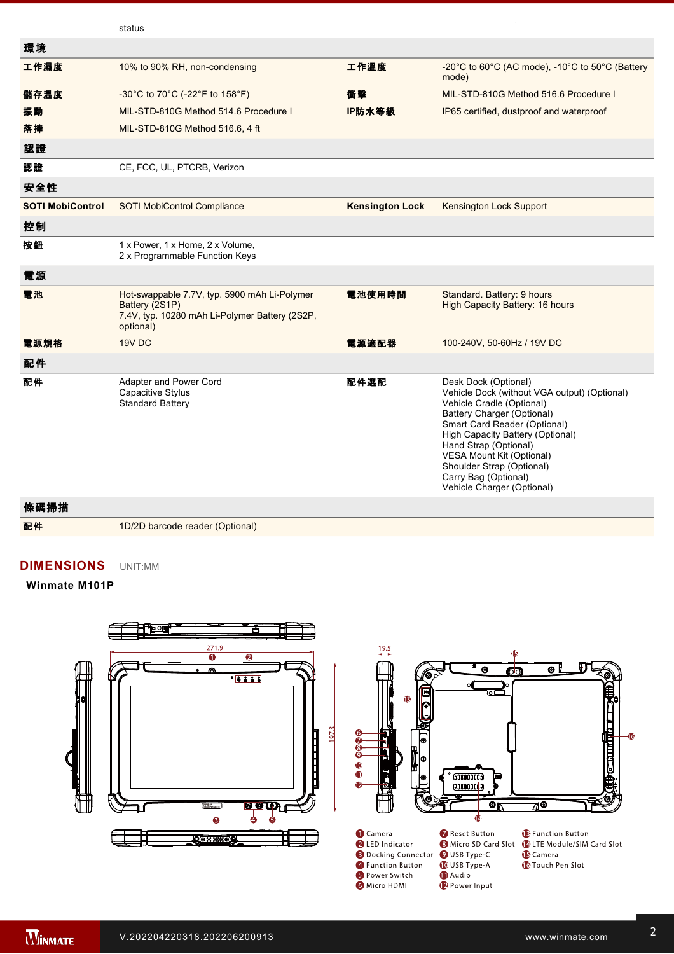|                         | status                                                                                                                        |                        |                                                                                                                                                                                                                                                                                                                                              |
|-------------------------|-------------------------------------------------------------------------------------------------------------------------------|------------------------|----------------------------------------------------------------------------------------------------------------------------------------------------------------------------------------------------------------------------------------------------------------------------------------------------------------------------------------------|
| 環境                      |                                                                                                                               |                        |                                                                                                                                                                                                                                                                                                                                              |
| 工作濕度                    | 10% to 90% RH, non-condensing                                                                                                 | 工作溫度                   | -20°C to 60°C (AC mode), -10°C to 50°C (Battery<br>mode)                                                                                                                                                                                                                                                                                     |
| 儲存溫度                    | -30°C to 70°C (-22°F to 158°F)                                                                                                | 衝擊                     | MIL-STD-810G Method 516.6 Procedure I                                                                                                                                                                                                                                                                                                        |
| 振動                      | MIL-STD-810G Method 514.6 Procedure I                                                                                         | IP防水等級                 | IP65 certified, dustproof and waterproof                                                                                                                                                                                                                                                                                                     |
| 落摔                      | MIL-STD-810G Method 516.6, 4 ft                                                                                               |                        |                                                                                                                                                                                                                                                                                                                                              |
| 認證                      |                                                                                                                               |                        |                                                                                                                                                                                                                                                                                                                                              |
| 認證                      | CE, FCC, UL, PTCRB, Verizon                                                                                                   |                        |                                                                                                                                                                                                                                                                                                                                              |
| 安全性                     |                                                                                                                               |                        |                                                                                                                                                                                                                                                                                                                                              |
| <b>SOTI MobiControl</b> | <b>SOTI MobiControl Compliance</b>                                                                                            | <b>Kensington Lock</b> | Kensington Lock Support                                                                                                                                                                                                                                                                                                                      |
| 控制                      |                                                                                                                               |                        |                                                                                                                                                                                                                                                                                                                                              |
| 按鈕                      | 1 x Power, 1 x Home, 2 x Volume,<br>2 x Programmable Function Keys                                                            |                        |                                                                                                                                                                                                                                                                                                                                              |
| 電源                      |                                                                                                                               |                        |                                                                                                                                                                                                                                                                                                                                              |
| 電池                      | Hot-swappable 7.7V, typ. 5900 mAh Li-Polymer<br>Battery (2S1P)<br>7.4V, typ. 10280 mAh Li-Polymer Battery (2S2P,<br>optional) | 電池使用時間                 | Standard. Battery: 9 hours<br>High Capacity Battery: 16 hours                                                                                                                                                                                                                                                                                |
| 電源規格                    | 19V DC                                                                                                                        | 電源適配器                  | 100-240V, 50-60Hz / 19V DC                                                                                                                                                                                                                                                                                                                   |
| 配件                      |                                                                                                                               |                        |                                                                                                                                                                                                                                                                                                                                              |
| 配件                      | Adapter and Power Cord<br><b>Capacitive Stylus</b><br><b>Standard Battery</b>                                                 | 配件選配                   | Desk Dock (Optional)<br>Vehicle Dock (without VGA output) (Optional)<br>Vehicle Cradle (Optional)<br>Battery Charger (Optional)<br>Smart Card Reader (Optional)<br>High Capacity Battery (Optional)<br>Hand Strap (Optional)<br>VESA Mount Kit (Optional)<br>Shoulder Strap (Optional)<br>Carry Bag (Optional)<br>Vehicle Charger (Optional) |

2. The USB TypeC connector follows USB 3.0 standard, which does not support Alternate Mode (ALT) or USB Power Delivery (USBPD).

#### 條碼掃描

配件 1D/2D barcode reader (Optional)

Dual Speaker

## **DIMENSIONS**  UNIT:MM

#### **Winmate M101P**